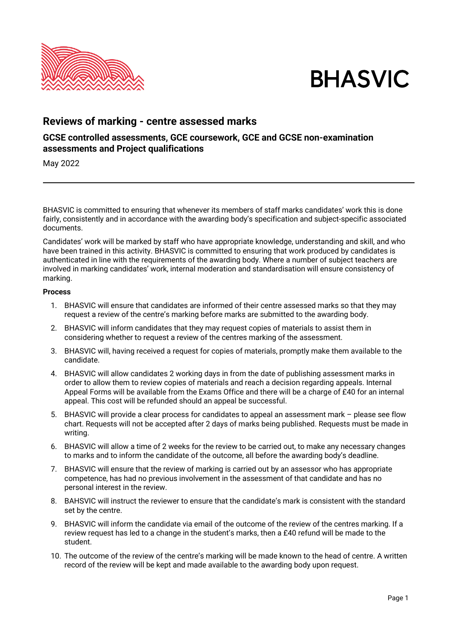



## **Reviews of marking - centre assessed marks**

## **GCSE controlled assessments, GCE coursework, GCE and GCSE non-examination assessments and Project qualifications**

May 2022

BHASVIC is committed to ensuring that whenever its members of staff marks candidates' work this is done fairly, consistently and in accordance with the awarding body's specification and subject-specific associated documents.

Candidates' work will be marked by staff who have appropriate knowledge, understanding and skill, and who have been trained in this activity. BHASVIC is committed to ensuring that work produced by candidates is authenticated in line with the requirements of the awarding body. Where a number of subject teachers are involved in marking candidates' work, internal moderation and standardisation will ensure consistency of marking.

## **Process**

- 1. BHASVIC will ensure that candidates are informed of their centre assessed marks so that they may request a review of the centre's marking before marks are submitted to the awarding body.
- 2. BHASVIC will inform candidates that they may request copies of materials to assist them in considering whether to request a review of the centres marking of the assessment.
- 3. BHASVIC will, having received a request for copies of materials, promptly make them available to the candidate.
- 4. BHASVIC will allow candidates 2 working days in from the date of publishing assessment marks in order to allow them to review copies of materials and reach a decision regarding appeals. Internal Appeal Forms will be available from the Exams Office and there will be a charge of £40 for an internal appeal. This cost will be refunded should an appeal be successful.
- 5. BHASVIC will provide a clear process for candidates to appeal an assessment mark please see flow chart. Requests will not be accepted after 2 days of marks being published. Requests must be made in writing.
- 6. BHASVIC will allow a time of 2 weeks for the review to be carried out, to make any necessary changes to marks and to inform the candidate of the outcome, all before the awarding body's deadline.
- 7. BHASVIC will ensure that the review of marking is carried out by an assessor who has appropriate competence, has had no previous involvement in the assessment of that candidate and has no personal interest in the review.
- 8. BAHSVIC will instruct the reviewer to ensure that the candidate's mark is consistent with the standard set by the centre.
- 9. BHASVIC will inform the candidate via email of the outcome of the review of the centres marking. If a review request has led to a change in the student's marks, then a £40 refund will be made to the student.
- 10. The outcome of the review of the centre's marking will be made known to the head of centre. A written record of the review will be kept and made available to the awarding body upon request.